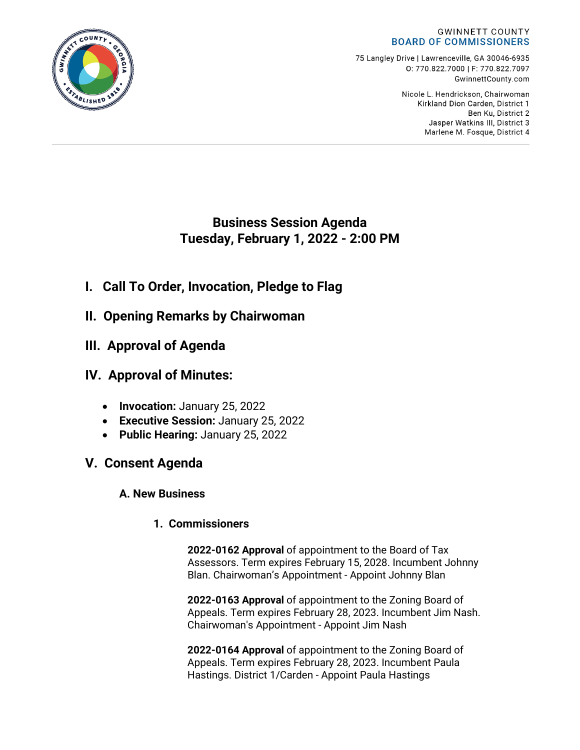#### **GWINNETT COUNTY BOARD OF COMMISSIONERS**

75 Langley Drive | Lawrenceville, GA 30046-6935 0:770.822.7000 | F: 770.822.7097 GwinnettCounty.com

> Nicole L. Hendrickson, Chairwoman Kirkland Dion Carden, District 1 Ben Ku. District 2 Jasper Watkins III, District 3 Marlene M. Fosque, District 4

# **Business Session Agenda Tuesday, February 1, 2022 - 2:00 PM**

- **I. Call To Order, Invocation, Pledge to Flag**
- **II. Opening Remarks by Chairwoman**
- **III. Approval of Agenda**

# **IV. Approval of Minutes:**

- **Invocation:** January 25, 2022
- **Executive Session:** January 25, 2022
- **Public Hearing:** January 25, 2022

# **V. Consent Agenda**

# **A. New Business**

# **1. Commissioners**

**2022-0162 Approval** of appointment to the Board of Tax Assessors. Term expires February 15, 2028. Incumbent Johnny Blan. Chairwoman's Appointment - Appoint Johnny Blan

**2022-0163 Approval** of appointment to the Zoning Board of Appeals. Term expires February 28, 2023. Incumbent Jim Nash. Chairwoman's Appointment - Appoint Jim Nash

**2022-0164 Approval** of appointment to the Zoning Board of Appeals. Term expires February 28, 2023. Incumbent Paula Hastings. District 1/Carden - Appoint Paula Hastings

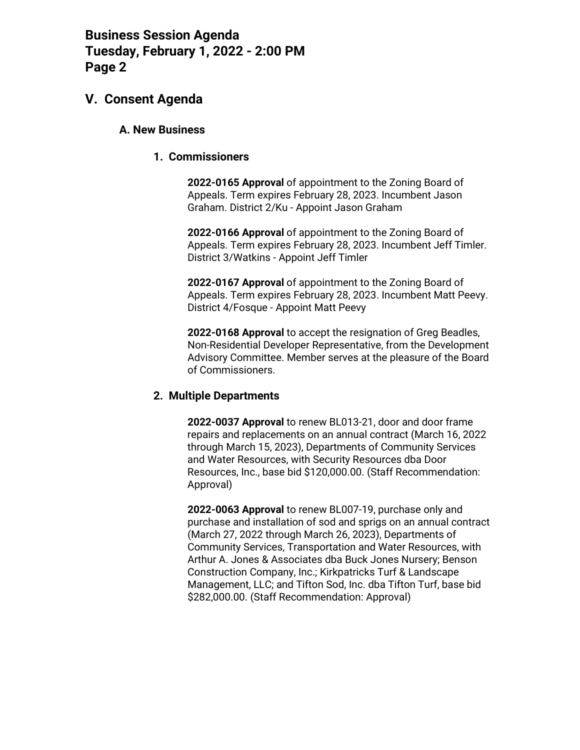### **V. Consent Agenda**

#### **A. New Business**

#### **1. Commissioners**

**2022-0165 Approval** of appointment to the Zoning Board of Appeals. Term expires February 28, 2023. Incumbent Jason Graham. District 2/Ku - Appoint Jason Graham

**2022-0166 Approval** of appointment to the Zoning Board of Appeals. Term expires February 28, 2023. Incumbent Jeff Timler. District 3/Watkins - Appoint Jeff Timler

**2022-0167 Approval** of appointment to the Zoning Board of Appeals. Term expires February 28, 2023. Incumbent Matt Peevy. District 4/Fosque - Appoint Matt Peevy

**2022-0168 Approval** to accept the resignation of Greg Beadles, Non-Residential Developer Representative, from the Development Advisory Committee. Member serves at the pleasure of the Board of Commissioners.

#### **2. Multiple Departments**

**2022-0037 Approval** to renew BL013-21, door and door frame repairs and replacements on an annual contract (March 16, 2022 through March 15, 2023), Departments of Community Services and Water Resources, with Security Resources dba Door Resources, Inc., base bid \$120,000.00. (Staff Recommendation: Approval)

**2022-0063 Approval** to renew BL007-19, purchase only and purchase and installation of sod and sprigs on an annual contract (March 27, 2022 through March 26, 2023), Departments of Community Services, Transportation and Water Resources, with Arthur A. Jones & Associates dba Buck Jones Nursery; Benson Construction Company, Inc.; Kirkpatricks Turf & Landscape Management, LLC; and Tifton Sod, Inc. dba Tifton Turf, base bid \$282,000.00. (Staff Recommendation: Approval)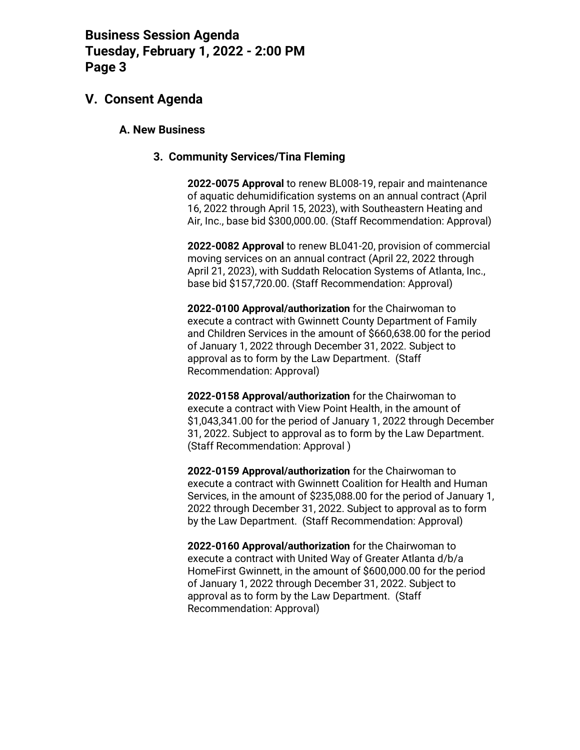### **V. Consent Agenda**

#### **A. New Business**

#### **3. Community Services/Tina Fleming**

**2022-0075 Approval** to renew BL008-19, repair and maintenance of aquatic dehumidification systems on an annual contract (April 16, 2022 through April 15, 2023), with Southeastern Heating and Air, Inc., base bid \$300,000.00. (Staff Recommendation: Approval)

**2022-0082 Approval** to renew BL041-20, provision of commercial moving services on an annual contract (April 22, 2022 through April 21, 2023), with Suddath Relocation Systems of Atlanta, Inc., base bid \$157,720.00. (Staff Recommendation: Approval)

**2022-0100 Approval/authorization** for the Chairwoman to execute a contract with Gwinnett County Department of Family and Children Services in the amount of \$660,638.00 for the period of January 1, 2022 through December 31, 2022. Subject to approval as to form by the Law Department. (Staff Recommendation: Approval)

**2022-0158 Approval/authorization** for the Chairwoman to execute a contract with View Point Health, in the amount of \$1,043,341.00 for the period of January 1, 2022 through December 31, 2022. Subject to approval as to form by the Law Department. (Staff Recommendation: Approval )

**2022-0159 Approval/authorization** for the Chairwoman to execute a contract with Gwinnett Coalition for Health and Human Services, in the amount of \$235,088.00 for the period of January 1, 2022 through December 31, 2022. Subject to approval as to form by the Law Department. (Staff Recommendation: Approval)

**2022-0160 Approval/authorization** for the Chairwoman to execute a contract with United Way of Greater Atlanta d/b/a HomeFirst Gwinnett, in the amount of \$600,000.00 for the period of January 1, 2022 through December 31, 2022. Subject to approval as to form by the Law Department. (Staff Recommendation: Approval)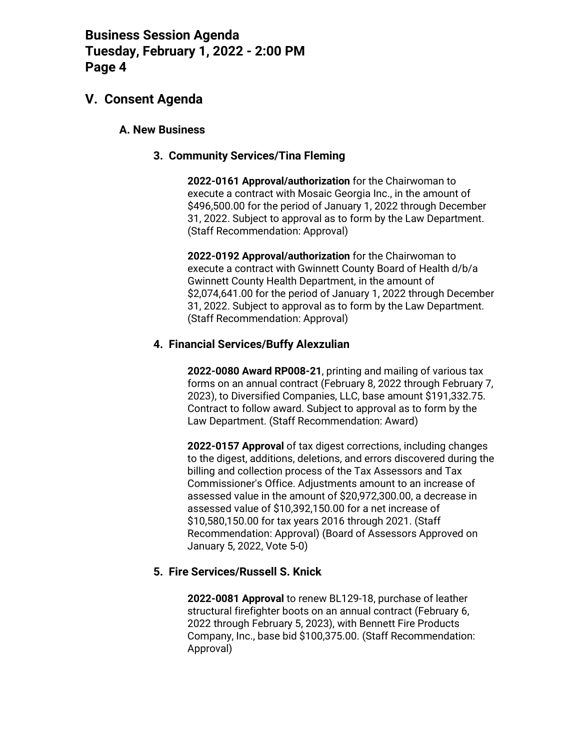### **V. Consent Agenda**

#### **A. New Business**

#### **3. Community Services/Tina Fleming**

**2022-0161 Approval/authorization** for the Chairwoman to execute a contract with Mosaic Georgia Inc., in the amount of \$496,500.00 for the period of January 1, 2022 through December 31, 2022. Subject to approval as to form by the Law Department. (Staff Recommendation: Approval)

**2022-0192 Approval/authorization** for the Chairwoman to execute a contract with Gwinnett County Board of Health d/b/a Gwinnett County Health Department, in the amount of \$2,074,641.00 for the period of January 1, 2022 through December 31, 2022. Subject to approval as to form by the Law Department. (Staff Recommendation: Approval)

#### **4. Financial Services/Buffy Alexzulian**

**2022-0080 Award RP008-21**, printing and mailing of various tax forms on an annual contract (February 8, 2022 through February 7, 2023), to Diversified Companies, LLC, base amount \$191,332.75. Contract to follow award. Subject to approval as to form by the Law Department. (Staff Recommendation: Award)

**2022-0157 Approval** of tax digest corrections, including changes to the digest, additions, deletions, and errors discovered during the billing and collection process of the Tax Assessors and Tax Commissioner's Office. Adjustments amount to an increase of assessed value in the amount of \$20,972,300.00, a decrease in assessed value of \$10,392,150.00 for a net increase of \$10,580,150.00 for tax years 2016 through 2021. (Staff Recommendation: Approval) (Board of Assessors Approved on January 5, 2022, Vote 5-0)

#### **5. Fire Services/Russell S. Knick**

**2022-0081 Approval** to renew BL129-18, purchase of leather structural firefighter boots on an annual contract (February 6, 2022 through February 5, 2023), with Bennett Fire Products Company, Inc., base bid \$100,375.00. (Staff Recommendation: Approval)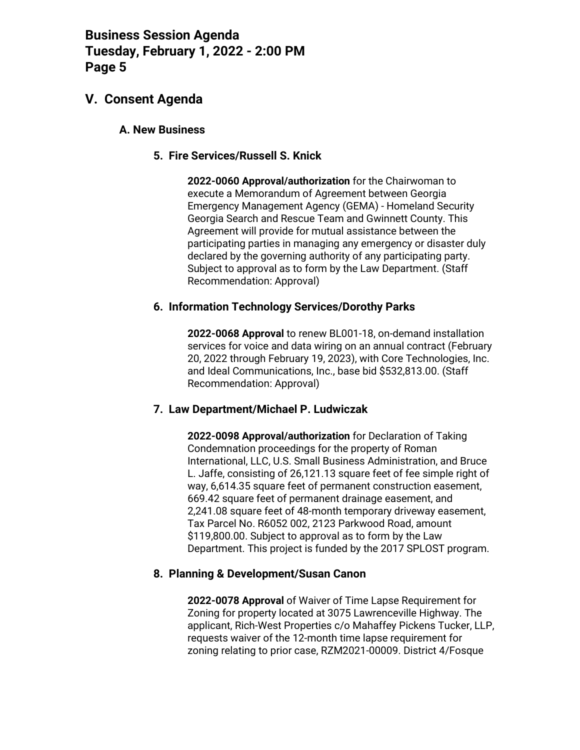## **V. Consent Agenda**

#### **A. New Business**

#### **5. Fire Services/Russell S. Knick**

**2022-0060 Approval/authorization** for the Chairwoman to execute a Memorandum of Agreement between Georgia Emergency Management Agency (GEMA) - Homeland Security Georgia Search and Rescue Team and Gwinnett County. This Agreement will provide for mutual assistance between the participating parties in managing any emergency or disaster duly declared by the governing authority of any participating party. Subject to approval as to form by the Law Department. (Staff Recommendation: Approval)

#### **6. Information Technology Services/Dorothy Parks**

**2022-0068 Approval** to renew BL001-18, on-demand installation services for voice and data wiring on an annual contract (February 20, 2022 through February 19, 2023), with Core Technologies, Inc. and Ideal Communications, Inc., base bid \$532,813.00. (Staff Recommendation: Approval)

#### **7. Law Department/Michael P. Ludwiczak**

**2022-0098 Approval/authorization** for Declaration of Taking Condemnation proceedings for the property of Roman International, LLC, U.S. Small Business Administration, and Bruce L. Jaffe, consisting of 26,121.13 square feet of fee simple right of way, 6,614.35 square feet of permanent construction easement, 669.42 square feet of permanent drainage easement, and 2,241.08 square feet of 48-month temporary driveway easement, Tax Parcel No. R6052 002, 2123 Parkwood Road, amount \$119,800.00. Subject to approval as to form by the Law Department. This project is funded by the 2017 SPLOST program.

#### **8. Planning & Development/Susan Canon**

**2022-0078 Approval** of Waiver of Time Lapse Requirement for Zoning for property located at 3075 Lawrenceville Highway. The applicant, Rich-West Properties c/o Mahaffey Pickens Tucker, LLP, requests waiver of the 12-month time lapse requirement for zoning relating to prior case, RZM2021-00009. District 4/Fosque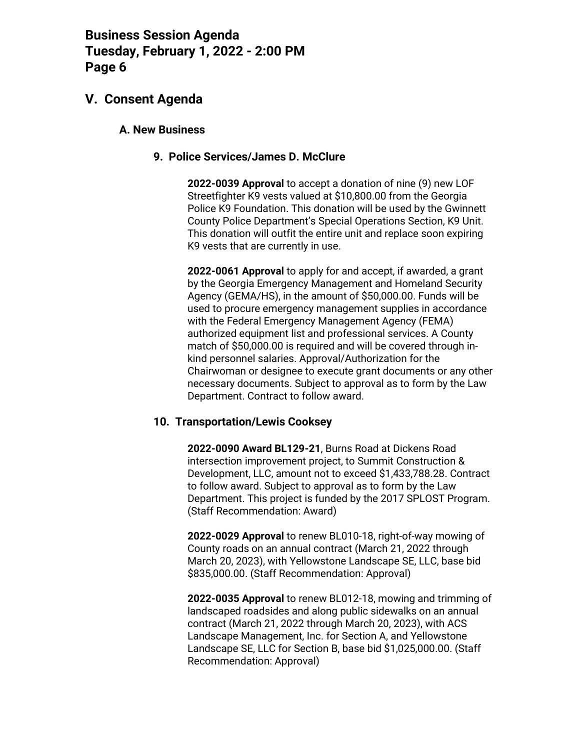### **V. Consent Agenda**

#### **A. New Business**

#### **9. Police Services/James D. McClure**

**2022-0039 Approval** to accept a donation of nine (9) new LOF Streetfighter K9 vests valued at \$10,800.00 from the Georgia Police K9 Foundation. This donation will be used by the Gwinnett County Police Department's Special Operations Section, K9 Unit. This donation will outfit the entire unit and replace soon expiring K9 vests that are currently in use.

**2022-0061 Approval** to apply for and accept, if awarded, a grant by the Georgia Emergency Management and Homeland Security Agency (GEMA/HS), in the amount of \$50,000.00. Funds will be used to procure emergency management supplies in accordance with the Federal Emergency Management Agency (FEMA) authorized equipment list and professional services. A County match of \$50,000.00 is required and will be covered through inkind personnel salaries. Approval/Authorization for the Chairwoman or designee to execute grant documents or any other necessary documents. Subject to approval as to form by the Law Department. Contract to follow award.

#### **10. Transportation/Lewis Cooksey**

**2022-0090 Award BL129-21**, Burns Road at Dickens Road intersection improvement project, to Summit Construction & Development, LLC, amount not to exceed \$1,433,788.28. Contract to follow award. Subject to approval as to form by the Law Department. This project is funded by the 2017 SPLOST Program. (Staff Recommendation: Award)

**2022-0029 Approval** to renew BL010-18, right-of-way mowing of County roads on an annual contract (March 21, 2022 through March 20, 2023), with Yellowstone Landscape SE, LLC, base bid \$835,000.00. (Staff Recommendation: Approval)

**2022-0035 Approval** to renew BL012-18, mowing and trimming of landscaped roadsides and along public sidewalks on an annual contract (March 21, 2022 through March 20, 2023), with ACS Landscape Management, Inc. for Section A, and Yellowstone Landscape SE, LLC for Section B, base bid \$1,025,000.00. (Staff Recommendation: Approval)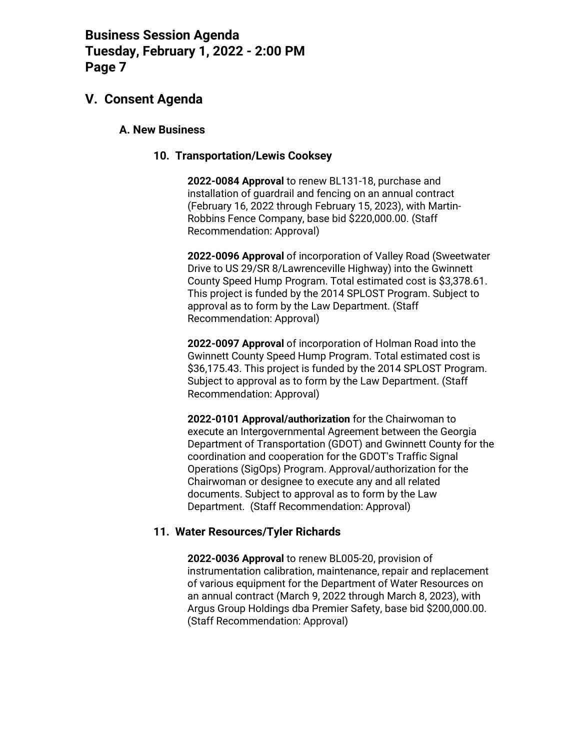## **V. Consent Agenda**

#### **A. New Business**

#### **10. Transportation/Lewis Cooksey**

**2022-0084 Approval** to renew BL131-18, purchase and installation of guardrail and fencing on an annual contract (February 16, 2022 through February 15, 2023), with Martin-Robbins Fence Company, base bid \$220,000.00. (Staff Recommendation: Approval)

**2022-0096 Approval** of incorporation of Valley Road (Sweetwater Drive to US 29/SR 8/Lawrenceville Highway) into the Gwinnett County Speed Hump Program. Total estimated cost is \$3,378.61. This project is funded by the 2014 SPLOST Program. Subject to approval as to form by the Law Department. (Staff Recommendation: Approval)

**2022-0097 Approval** of incorporation of Holman Road into the Gwinnett County Speed Hump Program. Total estimated cost is \$36,175.43. This project is funded by the 2014 SPLOST Program. Subject to approval as to form by the Law Department. (Staff Recommendation: Approval)

**2022-0101 Approval/authorization** for the Chairwoman to execute an Intergovernmental Agreement between the Georgia Department of Transportation (GDOT) and Gwinnett County for the coordination and cooperation for the GDOT's Traffic Signal Operations (SigOps) Program. Approval/authorization for the Chairwoman or designee to execute any and all related documents. Subject to approval as to form by the Law Department. (Staff Recommendation: Approval)

#### **11. Water Resources/Tyler Richards**

**2022-0036 Approval** to renew BL005-20, provision of instrumentation calibration, maintenance, repair and replacement of various equipment for the Department of Water Resources on an annual contract (March 9, 2022 through March 8, 2023), with Argus Group Holdings dba Premier Safety, base bid \$200,000.00. (Staff Recommendation: Approval)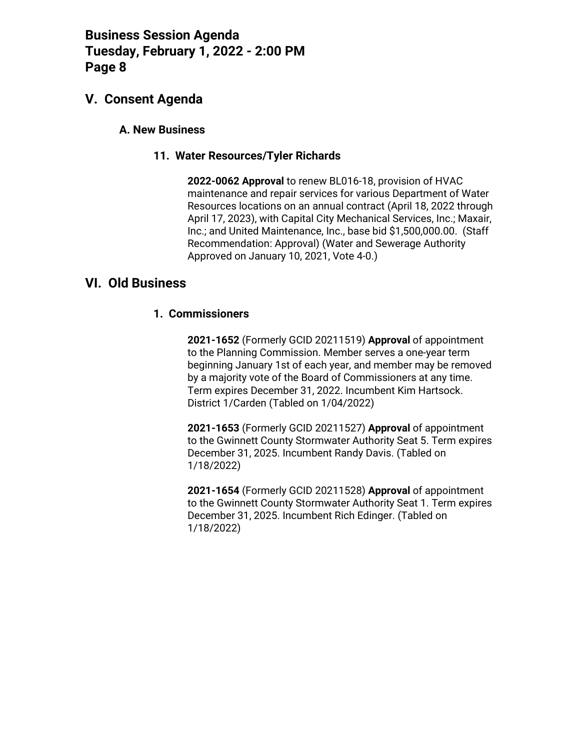## **V. Consent Agenda**

#### **A. New Business**

#### **11. Water Resources/Tyler Richards**

**2022-0062 Approval** to renew BL016-18, provision of HVAC maintenance and repair services for various Department of Water Resources locations on an annual contract (April 18, 2022 through April 17, 2023), with Capital City Mechanical Services, Inc.; Maxair, Inc.; and United Maintenance, Inc., base bid \$1,500,000.00. (Staff Recommendation: Approval) (Water and Sewerage Authority Approved on January 10, 2021, Vote 4-0.)

### **VI. Old Business**

#### **1. Commissioners**

**2021-1652** (Formerly GCID 20211519) **Approval** of appointment to the Planning Commission. Member serves a one-year term beginning January 1st of each year, and member may be removed by a majority vote of the Board of Commissioners at any time. Term expires December 31, 2022. Incumbent Kim Hartsock. District 1/Carden (Tabled on 1/04/2022)

**2021-1653** (Formerly GCID 20211527) **Approval** of appointment to the Gwinnett County Stormwater Authority Seat 5. Term expires December 31, 2025. Incumbent Randy Davis. (Tabled on 1/18/2022)

**2021-1654** (Formerly GCID 20211528) **Approval** of appointment to the Gwinnett County Stormwater Authority Seat 1. Term expires December 31, 2025. Incumbent Rich Edinger. (Tabled on 1/18/2022)